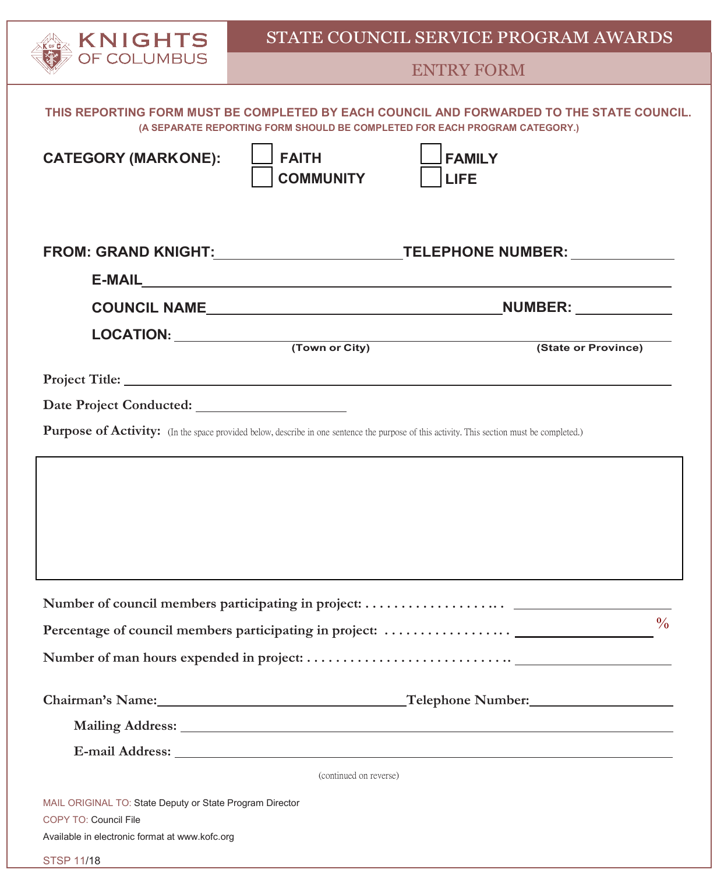

## ENTRY FORM

| THIS REPORTING FORM MUST BE COMPLETED BY EACH COUNCIL AND FORWARDED TO THE STATE COUNCIL.<br>(A SEPARATE REPORTING FORM SHOULD BE COMPLETED FOR EACH PROGRAM CATEGORY.) |                              |  |  |  |  |
|-------------------------------------------------------------------------------------------------------------------------------------------------------------------------|------------------------------|--|--|--|--|
| <b>FAITH</b><br><b>CATEGORY (MARKONE):</b><br><b>COMMUNITY</b>                                                                                                          | <b>FAMILY</b><br><b>LIFE</b> |  |  |  |  |
| FROM: GRAND KNIGHT:______________________________TELEPHONE NUMBER: _____________                                                                                        |                              |  |  |  |  |
|                                                                                                                                                                         |                              |  |  |  |  |
|                                                                                                                                                                         |                              |  |  |  |  |
|                                                                                                                                                                         |                              |  |  |  |  |
|                                                                                                                                                                         |                              |  |  |  |  |
|                                                                                                                                                                         |                              |  |  |  |  |
| Purpose of Activity: (In the space provided below, describe in one sentence the purpose of this activity. This section must be completed.)                              |                              |  |  |  |  |
|                                                                                                                                                                         |                              |  |  |  |  |
|                                                                                                                                                                         |                              |  |  |  |  |
|                                                                                                                                                                         | $\frac{0}{0}$                |  |  |  |  |
|                                                                                                                                                                         |                              |  |  |  |  |
|                                                                                                                                                                         |                              |  |  |  |  |
|                                                                                                                                                                         |                              |  |  |  |  |
|                                                                                                                                                                         |                              |  |  |  |  |
| (continued on reverse)                                                                                                                                                  |                              |  |  |  |  |
| MAIL ORIGINAL TO: State Deputy or State Program Director<br>COPY TO: Council File<br>Available in electronic format at www.kofc.org                                     |                              |  |  |  |  |